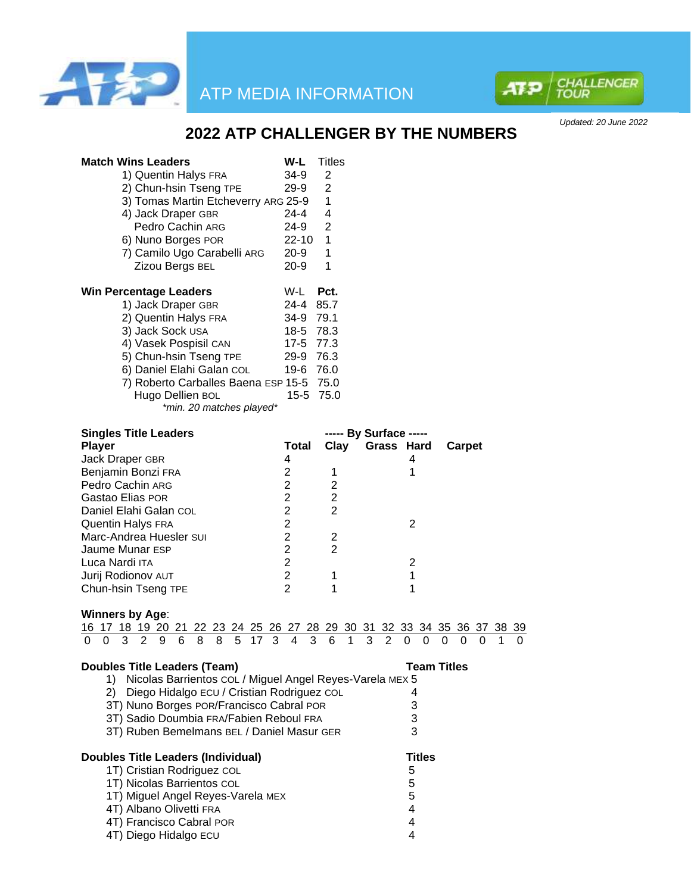



*Updated: 20 June 2022*

# **2022 ATP CHALLENGER BY THE NUMBERS**

| <b>Match Wins Leaders</b>                                                                                               | W-L                              | Titles                       |                        |                |                |               |                    |   |         |         |
|-------------------------------------------------------------------------------------------------------------------------|----------------------------------|------------------------------|------------------------|----------------|----------------|---------------|--------------------|---|---------|---------|
| 1) Quentin Halys FRA                                                                                                    | $34-9$                           | 2                            |                        |                |                |               |                    |   |         |         |
| 2) Chun-hsin Tseng TPE                                                                                                  | 29-9                             | 2                            |                        |                |                |               |                    |   |         |         |
| 3) Tomas Martin Etcheverry ARG 25-9                                                                                     |                                  | 1                            |                        |                |                |               |                    |   |         |         |
| 4) Jack Draper GBR                                                                                                      | 24-4                             | 4                            |                        |                |                |               |                    |   |         |         |
| Pedro Cachin ARG                                                                                                        | 24-9                             | $\overline{2}$               |                        |                |                |               |                    |   |         |         |
| 6) Nuno Borges POR                                                                                                      | $22 - 10$                        | 1                            |                        |                |                |               |                    |   |         |         |
| 7) Camilo Ugo Carabelli ARG                                                                                             | 20-9                             | 1                            |                        |                |                |               |                    |   |         |         |
| Zizou Bergs BEL                                                                                                         | $20-9$                           | 1                            |                        |                |                |               |                    |   |         |         |
| <b>Win Percentage Leaders</b>                                                                                           | W-L                              | Pct.                         |                        |                |                |               |                    |   |         |         |
| 1) Jack Draper GBR                                                                                                      | 24-4                             | 85.7                         |                        |                |                |               |                    |   |         |         |
| 2) Quentin Halys FRA                                                                                                    | 34-9 79.1                        |                              |                        |                |                |               |                    |   |         |         |
| 3) Jack Sock USA                                                                                                        |                                  | 18-5 78.3                    |                        |                |                |               |                    |   |         |         |
| 4) Vasek Pospisil CAN                                                                                                   |                                  | 17-5 77.3                    |                        |                |                |               |                    |   |         |         |
| 5) Chun-hsin Tseng TPE                                                                                                  |                                  | 29-9 76.3                    |                        |                |                |               |                    |   |         |         |
| 6) Daniel Elahi Galan COL                                                                                               |                                  | 19-6 76.0                    |                        |                |                |               |                    |   |         |         |
| 7) Roberto Carballes Baena ESP 15-5 75.0                                                                                |                                  |                              |                        |                |                |               |                    |   |         |         |
| Hugo Dellien BOL                                                                                                        |                                  | 15-5 75.0                    |                        |                |                |               |                    |   |         |         |
| *min. 20 matches played*                                                                                                |                                  |                              |                        |                |                |               |                    |   |         |         |
| <b>Singles Title Leaders</b>                                                                                            |                                  |                              | ----- By Surface ----- |                |                |               |                    |   |         |         |
| <b>Player</b>                                                                                                           | Total                            | Clay                         |                        | Grass Hard     |                |               | Carpet             |   |         |         |
| Jack Draper GBR                                                                                                         | 4                                |                              |                        |                | 4              |               |                    |   |         |         |
| Benjamin Bonzi FRA                                                                                                      | $\overline{2}$                   | 1                            |                        |                | 1              |               |                    |   |         |         |
| Pedro Cachin ARG<br>Gastao Elias POR                                                                                    | $\overline{c}$<br>$\overline{2}$ | 2<br>$\overline{\mathbf{c}}$ |                        |                |                |               |                    |   |         |         |
|                                                                                                                         | $\overline{2}$                   | $\overline{2}$               |                        |                |                |               |                    |   |         |         |
| Daniel Elahi Galan COL                                                                                                  |                                  |                              |                        |                |                |               |                    |   |         |         |
| <b>Quentin Halys FRA</b>                                                                                                | $\overline{2}$<br>$\overline{2}$ |                              |                        |                | $\overline{2}$ |               |                    |   |         |         |
| Marc-Andrea Huesler SUI                                                                                                 |                                  | 2                            |                        |                |                |               |                    |   |         |         |
| Jaume Munar ESP                                                                                                         | $\overline{2}$                   | $\overline{2}$               |                        |                |                |               |                    |   |         |         |
| Luca Nardi ITA                                                                                                          | $\overline{2}$                   |                              |                        |                | 2              |               |                    |   |         |         |
| Jurij Rodionov AUT                                                                                                      | $\overline{2}$<br>$\overline{2}$ | 1                            |                        |                | $\mathbf 1$    |               |                    |   |         |         |
| Chun-hsin Tseng TPE                                                                                                     |                                  | 1                            |                        |                | 1              |               |                    |   |         |         |
| <b>Winners by Age:</b>                                                                                                  |                                  |                              |                        |                |                |               |                    |   |         |         |
| 17 18 19 20 21 22 23 24 25 26 27 28 29 30 31 32 33 34 35 36 37<br>16<br>2<br>3<br>9<br>6<br>8<br>8<br>5<br>17<br>0<br>0 | 4                                | 3<br>6                       | 3<br>1                 | $\overline{2}$ | 0              | 0             | 0<br>0             | 0 | 38<br>1 | 39<br>0 |
| <b>Doubles Title Leaders (Team)</b>                                                                                     |                                  |                              |                        |                |                |               | <b>Team Titles</b> |   |         |         |
| 1) Nicolas Barrientos COL / Miguel Angel Reyes-Varela MEX 5                                                             |                                  |                              |                        |                |                |               |                    |   |         |         |
| Diego Hidalgo ECU / Cristian Rodriguez COL<br>2)                                                                        |                                  |                              |                        |                | 4              |               |                    |   |         |         |
| 3T) Nuno Borges POR/Francisco Cabral POR                                                                                |                                  |                              |                        |                | 3              |               |                    |   |         |         |
| 3T) Sadio Doumbia FRA/Fabien Reboul FRA                                                                                 |                                  |                              |                        |                | 3              |               |                    |   |         |         |
| 3T) Ruben Bemelmans BEL / Daniel Masur GER                                                                              |                                  |                              |                        |                | 3              |               |                    |   |         |         |
| <b>Doubles Title Leaders (Individual)</b>                                                                               |                                  |                              |                        |                |                | <b>Titles</b> |                    |   |         |         |
| 1T) Cristian Rodriguez COL                                                                                              |                                  |                              |                        |                | 5              |               |                    |   |         |         |
| 1T) Nicolas Barrientos COL                                                                                              |                                  |                              |                        |                | 5              |               |                    |   |         |         |
| 1T) Miguel Angel Reyes-Varela MEX                                                                                       |                                  |                              |                        |                | 5              |               |                    |   |         |         |
| 4T) Albano Olivetti FRA                                                                                                 |                                  |                              |                        |                | 4              |               |                    |   |         |         |
| 4T) Francisco Cabral POR                                                                                                |                                  |                              |                        |                | 4              |               |                    |   |         |         |
| 4T) Diego Hidalgo ECU                                                                                                   |                                  |                              |                        |                | $\overline{4}$ |               |                    |   |         |         |
|                                                                                                                         |                                  |                              |                        |                |                |               |                    |   |         |         |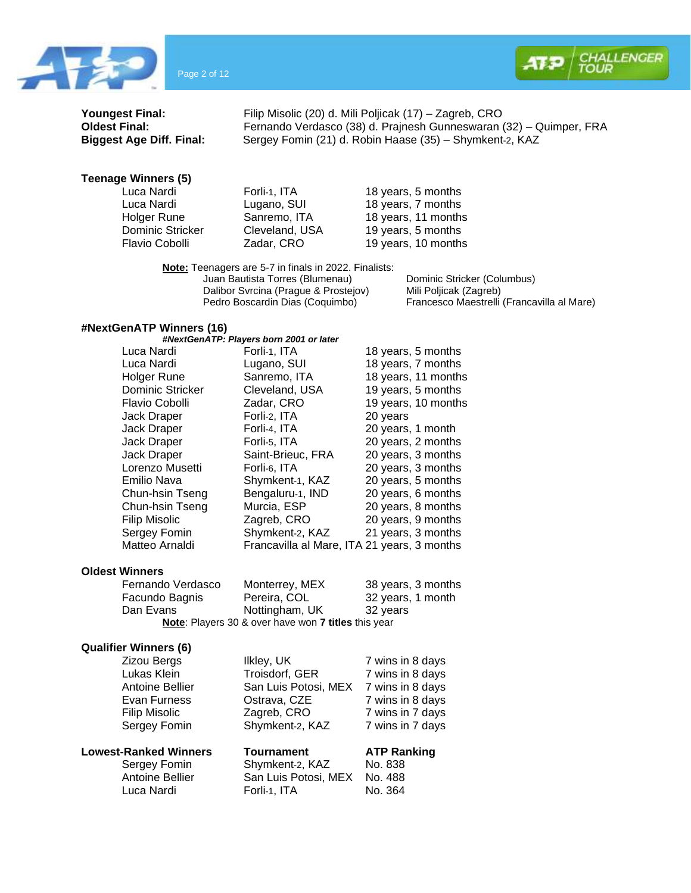



**Youngest Final:** Filip Misolic (20) d. Mili Poljicak (17) – Zagreb, CRO<br> **Oldest Final:** Fernando Verdasco (38) d. Prajnesh Gunneswaran ( **Oldest Final:** Fernando Verdasco (38) d. Prajnesh Gunneswaran (32) – Quimper, FRA<br>**Biggest Age Diff. Final:** Sergey Fomin (21) d. Robin Haase (35) – Shymkent-2, KAZ **Biggest Age Diff. Final:** Sergey Fomin (21) d. Robin Haase (35) – Shymkent-2, KAZ

#### **Teenage Winners (5)**

| Forli-1, ITA   | 18 years, 5 months  |
|----------------|---------------------|
| Lugano, SUI    | 18 years, 7 months  |
| Sanremo, ITA   | 18 years, 11 months |
| Cleveland, USA | 19 years, 5 months  |
| Zadar, CRO     | 19 years, 10 months |
|                |                     |

**Note:** Teenagers are 5-7 in finals in 2022. Finalists: Juan Bautista Torres (Blumenau) Dominic Stricker (Columbus)<br>Dalibor Svrcina (Prague & Prostejov) Mili Poljicak (Zagreb) Dalibor Svrcina (Prague & Prostejov)<br>Pedro Boscardin Dias (Coquimbo)

Francesco Maestrelli (Francavilla al Mare)

#### **#NextGenATP Winners (16)**

|                  | #NextGenATP: Players born 2001 or later     |                     |
|------------------|---------------------------------------------|---------------------|
| Luca Nardi       | Forli-1, ITA                                | 18 years, 5 months  |
| Luca Nardi       | Lugano, SUI                                 | 18 years, 7 months  |
| Holger Rune      | Sanremo, ITA                                | 18 years, 11 months |
| Dominic Stricker | Cleveland, USA                              | 19 years, 5 months  |
| Flavio Cobolli   | Zadar, CRO                                  | 19 years, 10 months |
| Jack Draper      | Forli-2, ITA                                | 20 years            |
| Jack Draper      | Forli-4, ITA                                | 20 years, 1 month   |
| Jack Draper      | Forli-5, ITA                                | 20 years, 2 months  |
| Jack Draper      | Saint-Brieuc, FRA                           | 20 years, 3 months  |
| Lorenzo Musetti  | Forli-6, ITA                                | 20 years, 3 months  |
| Emilio Nava      | Shymkent-1, KAZ                             | 20 years, 5 months  |
| Chun-hsin Tseng  | Bengaluru-1, IND                            | 20 years, 6 months  |
| Chun-hsin Tseng  | Murcia, ESP                                 | 20 years, 8 months  |
| Filip Misolic    | Zagreb, CRO                                 | 20 years, 9 months  |
| Sergey Fomin     | Shymkent-2, KAZ                             | 21 years, 3 months  |
| Matteo Arnaldi   | Francavilla al Mare, ITA 21 years, 3 months |                     |
|                  |                                             |                     |

## **Oldest Winners**

| Fernando Verdasco | Monterrey, MEX                                      | 38 years, 3 months |
|-------------------|-----------------------------------------------------|--------------------|
| Facundo Bagnis    | Pereira, COL                                        | 32 years, 1 month  |
| Dan Evans         | Nottingham, UK                                      | 32 years           |
|                   | Note: Players 30 & over have won 7 titles this year |                    |

#### **Qualifier Winners (6)**

| Zizou Bergs                  | Ilkley, UK           | 7 wins in 8 days   |
|------------------------------|----------------------|--------------------|
| Lukas Klein                  | Troisdorf, GER       | 7 wins in 8 days   |
| Antoine Bellier              | San Luis Potosi, MEX | 7 wins in 8 days   |
| Evan Furness                 | Ostrava, CZE         | 7 wins in 8 days   |
| <b>Filip Misolic</b>         | Zagreb, CRO          | 7 wins in 7 days   |
| Sergey Fomin                 | Shymkent-2, KAZ      | 7 wins in 7 days   |
| <b>Lowest-Ranked Winners</b> | <b>Tournament</b>    | <b>ATP Ranking</b> |
| Sergey Fomin                 | Shymkent-2, KAZ      | No. 838            |
| Antoine Bellier              | San Luis Potosi, MEX | No. 488            |
| Luca Nardi                   | Forli-1, ITA         | No. 364            |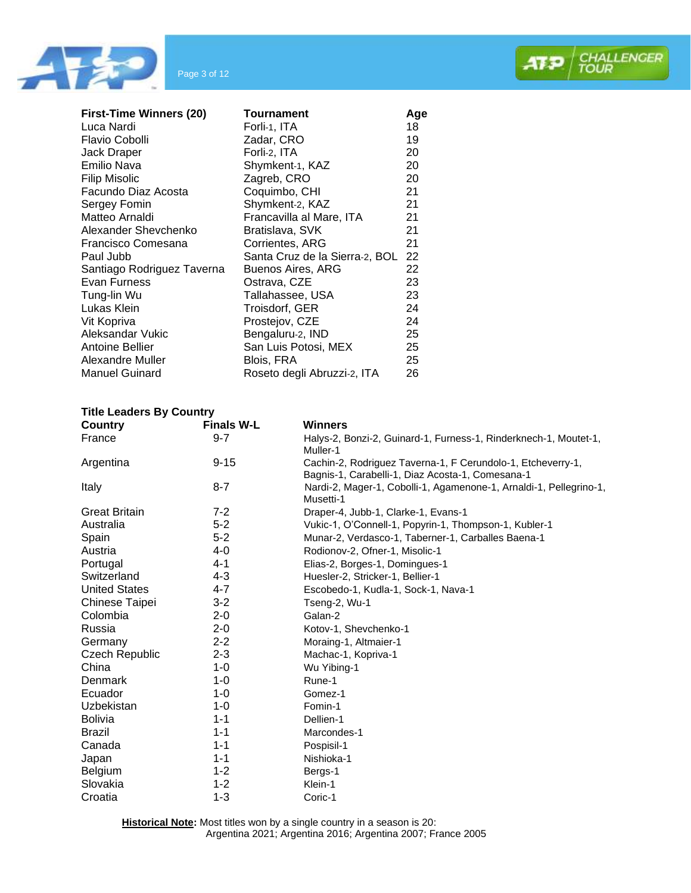



| <b>First-Time Winners (20)</b> | Tournament                     | Age |
|--------------------------------|--------------------------------|-----|
| Luca Nardi                     | Forli-1, ITA                   | 18  |
| Flavio Cobolli                 | Zadar, CRO                     | 19  |
| Jack Draper                    | Forli-2, ITA                   | 20  |
| Emilio Nava                    | Shymkent-1, KAZ                | 20  |
| <b>Filip Misolic</b>           | Zagreb, CRO                    | 20  |
| Facundo Diaz Acosta            | Coquimbo, CHI                  | 21  |
| Sergey Fomin                   | Shymkent-2, KAZ                | 21  |
| Matteo Arnaldi                 | Francavilla al Mare, ITA       | 21  |
| Alexander Shevchenko           | Bratislava, SVK                | 21  |
| Francisco Comesana             | Corrientes, ARG                | 21  |
| Paul Jubb                      | Santa Cruz de la Sierra-2, BOL | 22  |
| Santiago Rodriguez Taverna     | Buenos Aires, ARG              | 22  |
| Evan Furness                   | Ostrava, CZE                   | 23  |
| Tung-lin Wu                    | Tallahassee, USA               | 23  |
| Lukas Klein                    | Troisdorf, GER                 | 24  |
| Vit Kopriva                    | Prostejov, CZE                 | 24  |
| Aleksandar Vukic               | Bengaluru-2, IND               | 25  |
| Antoine Bellier                | San Luis Potosi, MEX           | 25  |
| Alexandre Muller               | Blois, FRA                     | 25  |
| <b>Manuel Guinard</b>          | Roseto degli Abruzzi-2, ITA    | 26  |

## **Title Leaders By Country**

| Country               | <b>Finals W-L</b> | <b>Winners</b>                                                                                                  |
|-----------------------|-------------------|-----------------------------------------------------------------------------------------------------------------|
| France                | $9 - 7$           | Halys-2, Bonzi-2, Guinard-1, Furness-1, Rinderknech-1, Moutet-1,<br>Muller-1                                    |
| Argentina             | $9 - 15$          | Cachin-2, Rodriguez Taverna-1, F Cerundolo-1, Etcheverry-1,<br>Bagnis-1, Carabelli-1, Diaz Acosta-1, Comesana-1 |
| Italy                 | $8 - 7$           | Nardi-2, Mager-1, Cobolli-1, Agamenone-1, Arnaldi-1, Pellegrino-1,<br>Musetti-1                                 |
| <b>Great Britain</b>  | $7-2$             | Draper-4, Jubb-1, Clarke-1, Evans-1                                                                             |
| Australia             | $5 - 2$           | Vukic-1, O'Connell-1, Popyrin-1, Thompson-1, Kubler-1                                                           |
| Spain                 | $5 - 2$           | Munar-2, Verdasco-1, Taberner-1, Carballes Baena-1                                                              |
| Austria               | 4-0               | Rodionov-2, Ofner-1, Misolic-1                                                                                  |
| Portugal              | $4 - 1$           | Elias-2, Borges-1, Domingues-1                                                                                  |
| Switzerland           | 4-3               | Huesler-2, Stricker-1, Bellier-1                                                                                |
| <b>United States</b>  | 4-7               | Escobedo-1, Kudla-1, Sock-1, Nava-1                                                                             |
| <b>Chinese Taipei</b> | $3 - 2$           | Tseng-2, Wu-1                                                                                                   |
| Colombia              | $2 - 0$           | Galan-2                                                                                                         |
| Russia                | $2 - 0$           | Kotov-1, Shevchenko-1                                                                                           |
| Germany               | $2 - 2$           | Moraing-1, Altmaier-1                                                                                           |
| <b>Czech Republic</b> | $2 - 3$           | Machac-1, Kopriva-1                                                                                             |
| China                 | $1 - 0$           | Wu Yibing-1                                                                                                     |
| Denmark               | $1 - 0$           | Rune-1                                                                                                          |
| Ecuador               | $1 - 0$           | Gomez-1                                                                                                         |
| Uzbekistan            | $1 - 0$           | Fomin-1                                                                                                         |
| <b>Bolivia</b>        | $1 - 1$           | Dellien-1                                                                                                       |
| <b>Brazil</b>         | $1 - 1$           | Marcondes-1                                                                                                     |
| Canada                | $1 - 1$           | Pospisil-1                                                                                                      |
| Japan                 | $1 - 1$           | Nishioka-1                                                                                                      |
| <b>Belgium</b>        | $1 - 2$           | Bergs-1                                                                                                         |
| Slovakia              | $1 - 2$           | Klein-1                                                                                                         |
| Croatia               | $1 - 3$           | Coric-1                                                                                                         |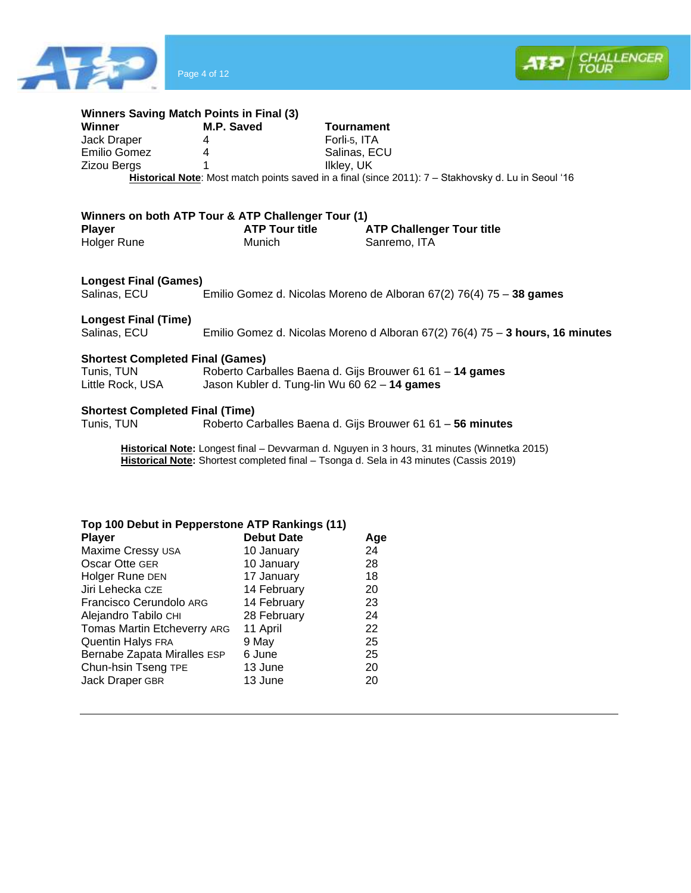



| <b>Winners Saving Match Points in Final (3)</b> |                                                    |                                                                                                     |
|-------------------------------------------------|----------------------------------------------------|-----------------------------------------------------------------------------------------------------|
| Winner                                          | M.P. Saved                                         | <b>Tournament</b>                                                                                   |
| Jack Draper                                     | 4                                                  | Forli-5, ITA                                                                                        |
| Emilio Gomez                                    | 4                                                  | Salinas, ECU                                                                                        |
| <b>Zizou Bergs</b>                              | 1                                                  | Ilkley, UK                                                                                          |
|                                                 |                                                    | Historical Note: Most match points saved in a final (since 2011): 7 - Stakhovsky d. Lu in Seoul '16 |
|                                                 |                                                    |                                                                                                     |
|                                                 | Winners on both ATP Tour & ATP Challenger Tour (1) |                                                                                                     |
| <b>Player</b>                                   | <b>ATP Tour title</b>                              | <b>ATP Challenger Tour title</b>                                                                    |
| Holger Rune                                     | Munich                                             | Sanremo, ITA                                                                                        |
|                                                 |                                                    |                                                                                                     |
| <b>Longest Final (Games)</b>                    |                                                    |                                                                                                     |
| Salinas, ECU                                    |                                                    | Emilio Gomez d. Nicolas Moreno de Alboran 67(2) 76(4) 75 - 38 games                                 |
|                                                 |                                                    |                                                                                                     |
| <b>Longest Final (Time)</b>                     |                                                    |                                                                                                     |
| Salinas, ECU                                    |                                                    | Emilio Gomez d. Nicolas Moreno d Alboran 67(2) 76(4) 75 - 3 hours, 16 minutes                       |
|                                                 |                                                    |                                                                                                     |
| <b>Shortest Completed Final (Games)</b>         |                                                    |                                                                                                     |
| Tunis, TUN                                      |                                                    | Roberto Carballes Baena d. Gijs Brouwer 61 61 - 14 games                                            |
| Little Rock, USA                                |                                                    | Jason Kubler d. Tung-lin Wu 60 62 - 14 games                                                        |
|                                                 |                                                    |                                                                                                     |
| <b>Shortest Completed Final (Time)</b>          |                                                    |                                                                                                     |
| Tunis, TUN                                      |                                                    | Roberto Carballes Baena d. Gijs Brouwer 61 61 - 56 minutes                                          |
|                                                 |                                                    |                                                                                                     |
|                                                 |                                                    | Historical Note: Longest final - Devvarman d. Nguyen in 3 hours, 31 minutes (Winnetka 2015)         |

**Historical Note:** Shortest completed final – Tsonga d. Sela in 43 minutes (Cassis 2019)

| Top 100 Debut in Pepperstone ATP Rankings (11) |  |
|------------------------------------------------|--|
|------------------------------------------------|--|

| <b>Player</b>               | <b>Debut Date</b> | Age |
|-----------------------------|-------------------|-----|
| Maxime Cressy USA           | 10 January        | 24  |
| Oscar Otte GER              | 10 January        | 28  |
| Holger Rune DEN             | 17 January        | 18  |
| Jiri Lehecka CZE            | 14 February       | 20  |
| Francisco Cerundolo ARG     | 14 February       | 23  |
| Alejandro Tabilo CHI        | 28 February       | 24  |
| Tomas Martin Etcheverry ARG | 11 April          | 22  |
| Quentin Halys FRA           | 9 May             | 25  |
| Bernabe Zapata Miralles ESP | 6 June            | 25  |
| Chun-hsin Tseng TPE         | 13 June           | 20  |
| Jack Draper GBR             | 13 June           | 20  |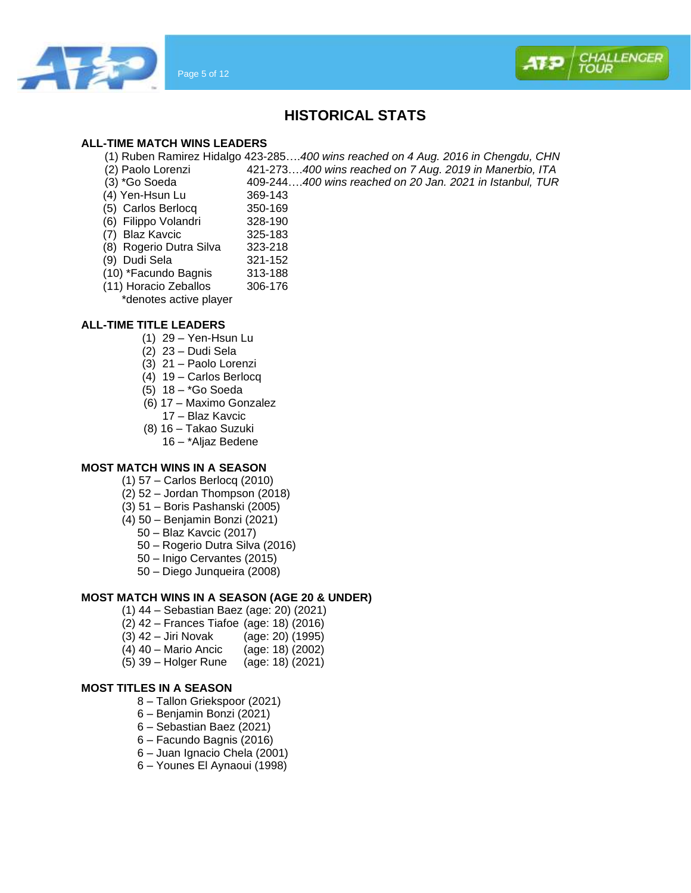



## **HISTORICAL STATS**

## **ALL-TIME MATCH WINS LEADERS**

(1) Ruben Ramirez Hidalgo 423-285….*400 wins reached on 4 Aug. 2016 in Chengdu, CHN*

(2) Paolo Lorenzi 421-273….*400 wins reached on 7 Aug. 2019 in Manerbio, ITA*

(3) \*Go Soeda 409-244….*400 wins reached on 20 Jan. 2021 in Istanbul, TUR*

- (4) Yen-Hsun Lu 369-143<br>(5) Carlos Berlocg 350-169
- $(5)$  Carlos Berlocq
- (6) Filippo Volandri 328-190
- (7) Blaz Kavcic 325-183
- (8) Rogerio Dutra Silva 323-218
- (9) Dudi Sela 321-152
- (10) \*Facundo Bagnis 313-188<br>(11) Horacio Zeballos 306-176
- $(11)$  Horacio Zeballos
	- \*denotes active player

## **ALL-TIME TITLE LEADERS**

- (1) 29 Yen-Hsun Lu
- (2) 23 Dudi Sela
- (3) 21 Paolo Lorenzi
- (4) 19 Carlos Berlocq
- (5) 18 \*Go Soeda
- (6) 17 Maximo Gonzalez
	- 17 Blaz Kavcic
- (8) 16 Takao Suzuki
	- 16 \*Aljaz Bedene

## **MOST MATCH WINS IN A SEASON**

- (1) 57 Carlos Berlocq (2010)
- (2) 52 Jordan Thompson (2018)
- (3) 51 Boris Pashanski (2005)
- (4) 50 Benjamin Bonzi (2021)
	- 50 Blaz Kavcic (2017)
	- 50 Rogerio Dutra Silva (2016)
	- 50 Inigo Cervantes (2015)
	- 50 Diego Junqueira (2008)

## **MOST MATCH WINS IN A SEASON (AGE 20 & UNDER)**

- (1) 44 Sebastian Baez (age: 20) (2021)
- (2) 42 Frances Tiafoe (age: 18) (2016)
- (3) 42 Jiri Novak (age: 20) (1995)
- (4) 40 Mario Ancic (age: 18) (2002)
- (5) 39 Holger Rune (age: 18) (2021)

## **MOST TITLES IN A SEASON**

- 8 Tallon Griekspoor (2021)
- 6 Benjamin Bonzi (2021)
- 6 Sebastian Baez (2021)
- 6 Facundo Bagnis (2016)
- 6 Juan Ignacio Chela (2001)
- 6 Younes El Aynaoui (1998)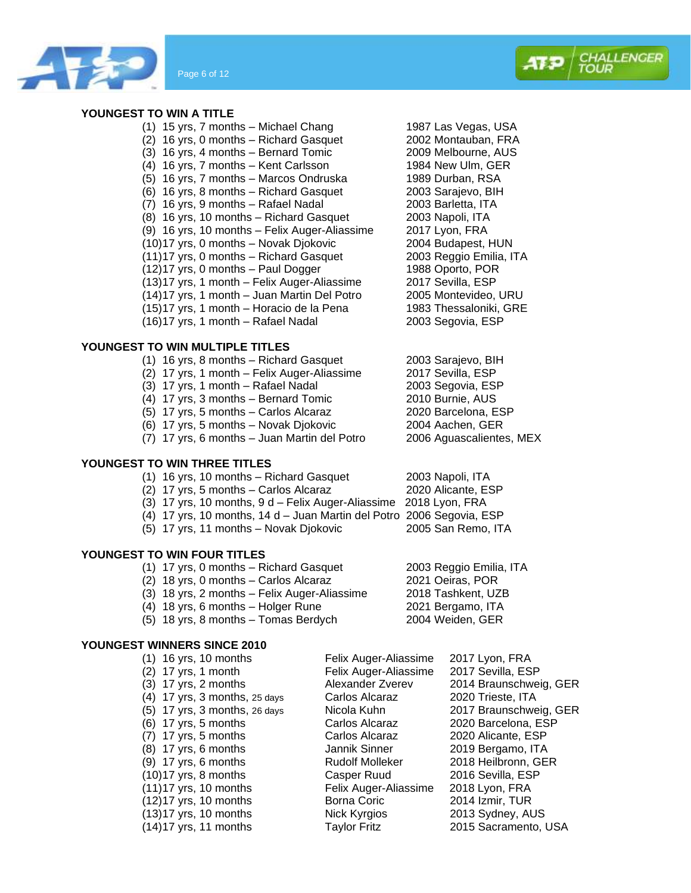

## **YOUNGEST TO WIN A TITLE**

- (1) 15 yrs, 7 months Michael Chang 1987 Las Vegas, USA<br>(2) 16 yrs. 0 months Richard Gasquet 2002 Montauban. FRA (2) 16 yrs, 0 months – Richard Gasquet 2002 Montauban, FRA  $(3)$  16 yrs, 4 months – Bernard Tomic (4) 16 yrs, 7 months – Kent Carlsson 1984 New Ulm, GER (5) 16 yrs, 7 months – Marcos Ondruska 1989 Durban, RSA (6) 16 yrs, 8 months – Richard Gasquet 2003 Sarajevo, BIH (7) 16 yrs, 9 months – Rafael Nadal (2003 Barletta, ITA)<br>(8) 16 yrs, 10 months – Richard Gasquet (2003 Napoli, ITA) (8) 16 yrs, 10 months – Richard Gasquet 2003 Napoli, ITA<br>(9) 16 yrs, 10 months – Felix Auger-Aliassime 2017 Lyon, FRA  $(9)$  16 yrs, 10 months – Felix Auger-Aliassime (10)17 yrs, 0 months – Novak Djokovic 2004 Budapest, HUN  $(11)17$  yrs, 0 months – Richard Gasquet 2003 Reggio Emilia<br>(12)17 yrs, 0 months – Paul Dogger 1988 Oporto, POR  $(12)17$  yrs, 0 months – Paul Dogger (13)17 yrs, 1 month – Felix Auger-Aliassime 2017 Sevilla, ESP (14)17 yrs, 1 month – Juan Martin Del Potro 2005 Montevideo, URU  $(15)17$  yrs, 1 month – Horacio de la Pena
- (16)17 yrs, 1 month Rafael Nadal 2003 Segovia, ESP

## **YOUNGEST TO WIN MULTIPLE TITLES**

- (1) 16 yrs, 8 months Richard Gasquet 2003 Sarajevo, BIH
- (2) 17 yrs, 1 month Felix Auger-Aliassime
- (3) 17 yrs, 1 month Rafael Nadal 2003 Segovia, ESP
- 
- (5) 17 yrs, 5 months Carlos Alcaraz
- (7) 17 yrs, 6 months Juan Martin del Potro 2006 Aguascalientes, MEX

## **YOUNGEST TO WIN THREE TITLES**

- (1) 16 yrs, 10 months Richard Gasquet 2003 Napoli, ITA<br>(2) 17 yrs, 5 months Carlos Alcaraz 2020 Alicante, ESP
- $(2)$  17 yrs, 5 months Carlos Alcaraz
- (3) 17 yrs, 10 months, 9 d Felix Auger-Aliassime 2018 Lyon, FRA
- (4) 17 yrs, 10 months, 14 d Juan Martin del Potro 2006 Segovia, ESP
- (5) 17 yrs, 11 months Novak Djokovic 2005 San Remo, ITA

## **YOUNGEST TO WIN FOUR TITLES**

- (1) 17 yrs, 0 months Richard Gasquet 2003 Reggio Emilia, ITA (2) 18 yrs, 0 months – Carlos Alcaraz 2021 Oeiras, POR (3) 18 yrs, 2 months – Felix Auger-Aliassime 2018 Tashkent, UZB (4) 18 yrs, 6 months – Holger Rune 2021 Bergamo, ITA
- **YOUNGEST WINNERS SINCE 2010**

| $(1)$ 16 yrs, 10 months         | Felix Auger-Aliassime  | 2017 Lyon, FRA         |
|---------------------------------|------------------------|------------------------|
| $(2)$ 17 yrs, 1 month           | Felix Auger-Aliassime  | 2017 Sevilla, ESP      |
| $(3)$ 17 yrs, 2 months          | Alexander Zverev       | 2014 Braunschweig, GER |
| $(4)$ 17 yrs, 3 months, 25 days | Carlos Alcaraz         | 2020 Trieste, ITA      |
| $(5)$ 17 yrs, 3 months, 26 days | Nicola Kuhn            | 2017 Braunschweig, GER |
| $(6)$ 17 yrs, 5 months          | Carlos Alcaraz         | 2020 Barcelona, ESP    |
| $(7)$ 17 yrs, 5 months          | Carlos Alcaraz         | 2020 Alicante, ESP     |
| $(8)$ 17 yrs, 6 months          | Jannik Sinner          | 2019 Bergamo, ITA      |
| $(9)$ 17 yrs, 6 months          | <b>Rudolf Molleker</b> | 2018 Heilbronn, GER    |
| $(10)17$ yrs, 8 months          | Casper Ruud            | 2016 Sevilla, ESP      |
| $(11)17$ yrs, 10 months         | Felix Auger-Aliassime  | 2018 Lyon, FRA         |
| $(12)17$ yrs, 10 months         | Borna Coric            | 2014 Izmir, TUR        |
| $(13)17$ yrs, 10 months         | Nick Kyrgios           | 2013 Sydney, AUS       |
| $(14)17$ yrs, 11 months         | <b>Taylor Fritz</b>    | 2015 Sacramento, USA   |

 $(4)$  17 yrs, 3 months – Bernard Tomic 2010 Burnie, AUS<br>
(5) 17 yrs, 5 months – Carlos Alcaraz 2020 Barcelona, ESP (6) 17 yrs, 5 months – Novak Djokovic 2004 Aachen, GER

- 
- 
- 
- 

(5) 18 yrs, 8 months – Tomas Berdych 2004 Weiden, GER



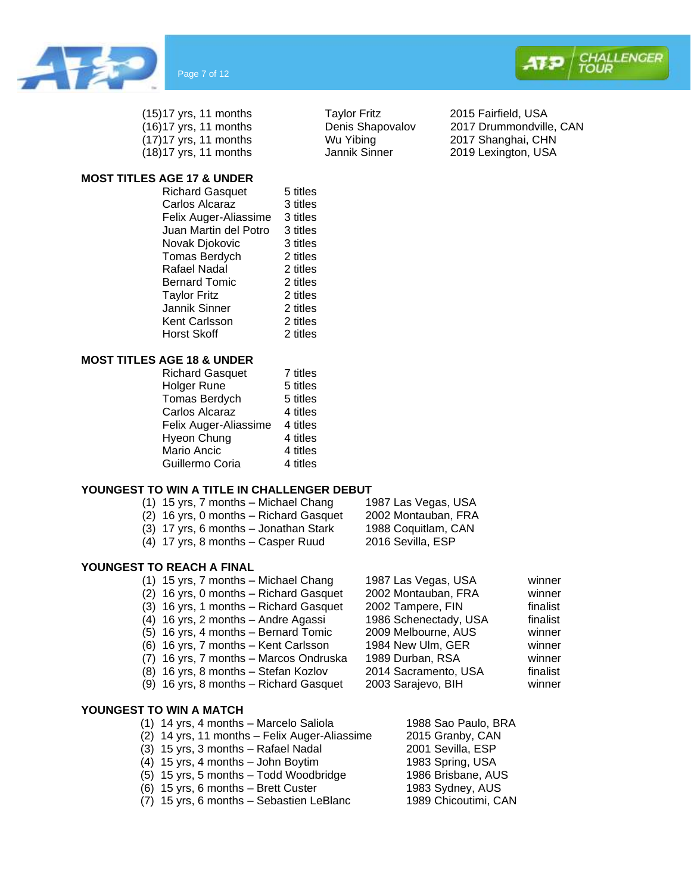





(17)17 yrs, 11 months Wu Yibing 2017 Shanghai, CHN (18)17 yrs, 11 months Jannik Sinner 2019 Lexington, USA



## **MOST TITLES AGE 17 & UNDER**

| <b>Richard Gasquet</b> | 5 titles |
|------------------------|----------|
| Carlos Alcaraz         | 3 titles |
| Felix Auger-Aliassime  | 3 titles |
| Juan Martin del Potro  | 3 titles |
| Novak Djokovic         | 3 titles |
| <b>Tomas Berdych</b>   | 2 titles |
| Rafael Nadal           | 2 titles |
| <b>Bernard Tomic</b>   | 2 titles |
| <b>Taylor Fritz</b>    | 2 titles |
| Jannik Sinner          | 2 titles |
| Kent Carlsson          | 2 titles |
| Horst Skoff            | 2 titles |
|                        |          |

#### **MOST TITLES AGE 18 & UNDER**

| <b>Richard Gasquet</b> | 7 titles |
|------------------------|----------|
| Holger Rune            | 5 titles |
| Tomas Berdych          | 5 titles |
| Carlos Alcaraz         | 4 titles |
| Felix Auger-Aliassime  | 4 titles |
| Hyeon Chung            | 4 titles |
| Mario Ancic            | 4 titles |
| Guillermo Coria        | 4 titles |

## **YOUNGEST TO WIN A TITLE IN CHALLENGER DEBUT**

- (1) 15 yrs, 7 months Michael Chang 1987 Las Vegas, USA
	- (2) 16 yrs, 0 months Richard Gasquet 2002 Montauban, FRA
	- (3) 17 yrs, 6 months Jonathan Stark 1988 Coquitlam, CAN
	- (4) 17 yrs, 8 months Casper Ruud 2016 Sevilla, ESP

## **YOUNGEST TO REACH A FINAL**

- (1) 15 yrs, 7 months Michael Chang 1987 Las Vegas, USA winner (2) 16 yrs, 0 months – Richard Gasquet 2002 Montauban, FRA winner
- $(3)$  16 yrs, 1 months Richard Gasquet 2002 Tampere, FIN finalist
- (4) 16 yrs, 2 months Andre Agassi 1986 Schenectady, USA finalist
- (5) 16 yrs, 4 months Bernard Tomic 2009 Melbourne, AUS winner
- (6) 16 yrs, 7 months Kent Carlsson 1984 New Ulm, GER winner
- (7) 16 yrs, 7 months Marcos Ondruska 1989 Durban, RSA winner
- (8) 16 yrs, 8 months Stefan Kozlov 2014 Sacramento, USA finalist
- (9) 16 yrs, 8 months Richard Gasquet 2003 Sarajevo, BIH winner

## **YOUNGEST TO WIN A MATCH**

- (1) 14 yrs, 4 months Marcelo Saliola 1988 Sao Paulo, BRA
- (2) 14 yrs, 11 months Felix Auger-Aliassime 2015 Granby, CAN
- (3) 15 yrs, 3 months Rafael Nadal 2001 Sevilla, ESP
- (4) 15 yrs, 4 months John Boytim 1983 Spring, USA<br>(5) 15 yrs, 5 months Todd Woodbridge 1986 Brisbane, AUS
- $(5)$  15 yrs, 5 months Todd Woodbridge
- $(6)$  15 yrs, 6 months Brett Custer 1983 Sydney, AUS
- (7) 15 yrs, 6 months Sebastien LeBlanc 1989 Chicoutimi, CAN
- 
- 

- 
- 
- 
- 

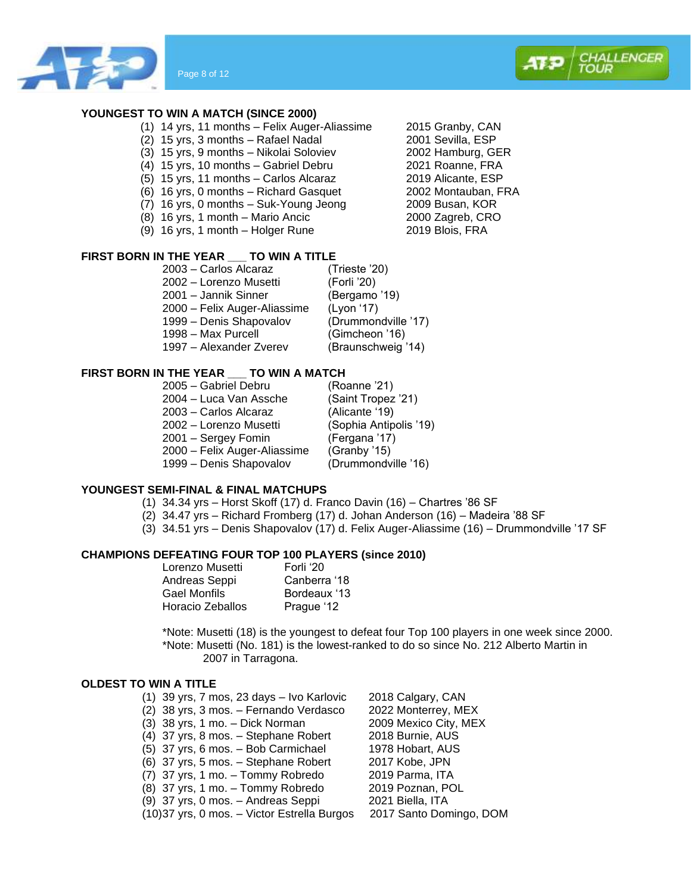



- (1) 14 yrs, 11 months Felix Auger-Aliassime 2015 Granby, CAN
- (2) 15 yrs, 3 months Rafael Nadal (2001 Sevilla, ESP<br>(3) 15 yrs, 9 months Nikolai Soloviev (2002 Hamburg, GER
- $(3)$  15 yrs, 9 months Nikolai Soloviev
- (4) 15 yrs, 10 months Gabriel Debru 2021 Roanne, FRA
- (5) 15 yrs, 11 months Carlos Alcaraz 2019 Alicante, ESP
- (6) 16 yrs, 0 months Richard Gasquet 2002 Montauban, FRA
- (7) 16 yrs, 0 months Suk-Young Jeong 2009 Busan, KOR
- (8) 16 yrs, 1 month Mario Ancic 2000 Zagreb, CR<br>(9) 16 yrs, 1 month Holger Rune 2019 Blois, FRA
- $(9)$  16 yrs, 1 month Holger Rune

## **FIRST BORN IN THE YEAR \_\_\_ TO WIN A TITLE**

| 2003 - Carlos Alcaraz        | (Trieste '20)       |
|------------------------------|---------------------|
| 2002 – Lorenzo Musetti       | (Forli '20)         |
| 2001 – Jannik Sinner         | (Bergamo '19)       |
| 2000 - Felix Auger-Aliassime | (Lyon '17)          |
| 1999 - Denis Shapovalov      | (Drummondville '17) |
| 1998 - Max Purcell           | (Gimcheon '16)      |
| 1997 – Alexander Zverev      | (Braunschweig '14)  |
|                              |                     |

## **FIRST BORN IN THE YEAR \_\_\_ TO WIN A MATCH**

| 2005 - Gabriel Debru         | (Roanne '21)           |
|------------------------------|------------------------|
| 2004 – Luca Van Assche       | (Saint Tropez '21)     |
| 2003 - Carlos Alcaraz        | (Alicante '19)         |
| 2002 – Lorenzo Musetti       | (Sophia Antipolis '19) |
| 2001 - Sergey Fomin          | (Fergana '17)          |
| 2000 - Felix Auger-Aliassime | (Granby '15)           |
| 1999 - Denis Shapovalov      | (Drummondville '16)    |

## **YOUNGEST SEMI-FINAL & FINAL MATCHUPS**

- (1) 34.34 yrs Horst Skoff (17) d. Franco Davin (16) Chartres '86 SF
- (2) 34.47 yrs Richard Fromberg (17) d. Johan Anderson (16) Madeira '88 SF
- (3) 34.51 yrs Denis Shapovalov (17) d. Felix Auger-Aliassime (16) Drummondville '17 SF

## **CHAMPIONS DEFEATING FOUR TOP 100 PLAYERS (since 2010)**

| Lorenzo Musetti     | Forli '20    |
|---------------------|--------------|
| Andreas Seppi       | Canberra '18 |
| <b>Gael Monfils</b> | Bordeaux '13 |
| Horacio Zeballos    | Prague '12   |

\*Note: Musetti (18) is the youngest to defeat four Top 100 players in one week since 2000. \*Note: Musetti (No. 181) is the lowest-ranked to do so since No. 212 Alberto Martin in 2007 in Tarragona.

## **OLDEST TO WIN A TITLE**

(1) 39 yrs, 7 mos, 23 days – Ivo Karlovic 2018 Calgary, CAN (2) 38 yrs, 3 mos. – Fernando Verdasco 2022 Monterrey, MEX (3) 38 yrs, 1 mo. – Dick Norman 2009 Mexico City, MEX (4) 37 yrs, 8 mos. – Stephane Robert 2018 Burnie, AUS (5) 37 yrs, 6 mos. – Bob Carmichael 1978 Hobart, AUS (6) 37 yrs, 5 mos. – Stephane Robert 2017 Kobe, JPN (7) 37 yrs, 1 mo. – Tommy Robredo 2019 Parma, ITA (8) 37 yrs, 1 mo. – Tommy Robredo 2019 Poznan, POL (9) 37 yrs, 0 mos. – Andreas Seppi 2021 Biella, ITA (10)37 yrs, 0 mos. – Victor Estrella Burgos 2017 Santo Domingo, DOM

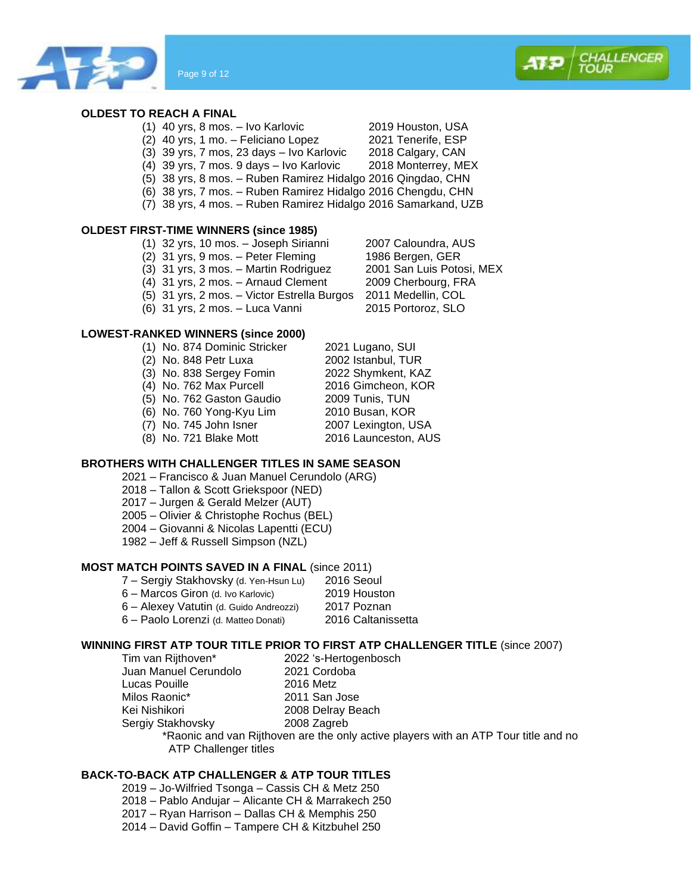

## **OLDEST TO REACH A FINAL**

- (1) 40 yrs, 8 mos. Ivo Karlovic 2019 Houston, USA
- (2) 40 yrs, 1 mo. Feliciano Lopez 2021 Tenerife, ESP<br>(3) 39 yrs, 7 mos, 23 days Ivo Karlovic 2018 Calgary, CAN
- $(3)$  39 yrs, 7 mos, 23 days Ivo Karlovic
- (4) 39 yrs, 7 mos. 9 days Ivo Karlovic 2018 Monterrey, MEX
- (5) 38 yrs, 8 mos. Ruben Ramirez Hidalgo 2016 Qingdao, CHN
- (6) 38 yrs, 7 mos. Ruben Ramirez Hidalgo 2016 Chengdu, CHN
- (7) 38 yrs, 4 mos. Ruben Ramirez Hidalgo 2016 Samarkand, UZB

## **OLDEST FIRST-TIME WINNERS (since 1985)**

- (1) 32 yrs, 10 mos. Joseph Sirianni 2007 Caloundra, AUS
- (2) 31 yrs, 9 mos. Peter Fleming 1986 Bergen, GER<br>(3) 31 yrs, 3 mos. Martin Rodriguez 2001 San Luis Potosi, MEX
- $(3)$  31 yrs, 3 mos. Martin Rodriguez
- (4) 31 yrs, 2 mos. Arnaud Clement 2009 Cherbourg, FRA
- (5) 31 yrs, 2 mos. Victor Estrella Burgos 2011 Medellin, COL
- $(6)$  31 yrs, 2 mos. Luca Vanni

## **LOWEST-RANKED WINNERS (since 2000)**

(1) No. 874 Dominic Stricker 2021 Lugano, SUI (2) No. 848 Petr Luxa 2002 Istanbul, TUR (3) No. 838 Sergey Fomin 2022 Shymkent, KAZ<br>(4) No. 762 Max Purcell 2016 Gimcheon, KOR  $(4)$  No. 762 Max Purcell (5) No. 762 Gaston Gaudio 2009 Tunis, TUN (6) No. 760 Yong-Kyu Lim (7) No. 745 John Isner 2007 Lexington, USA (8) No. 721 Blake Mott 2016 Launceston, AUS

#### **BROTHERS WITH CHALLENGER TITLES IN SAME SEASON**

- 2021 Francisco & Juan Manuel Cerundolo (ARG)
- 2018 Tallon & Scott Griekspoor (NED)
- 2017 Jurgen & Gerald Melzer (AUT)
- 2005 Olivier & Christophe Rochus (BEL)
- 2004 Giovanni & Nicolas Lapentti (ECU)
- 1982 Jeff & Russell Simpson (NZL)

#### **MOST MATCH POINTS SAVED IN A FINAL** (since 2011)

- 7 Sergiy Stakhovsky (d. Yen-Hsun Lu) 2016 Seoul
- 6 Marcos Giron (d. Ivo Karlovic) 2019 Houston
- 6 Alexey Vatutin (d. Guido Andreozzi) 2017 Poznan
- 6 Paolo Lorenzi (d. Matteo Donati) 2016 Caltanissetta

## **WINNING FIRST ATP TOUR TITLE PRIOR TO FIRST ATP CHALLENGER TITLE** (since 2007)

Tim van Rijthoven\* 2022 's-Hertogenbosch Juan Manuel Cerundolo 2021 Cordoba Lucas Pouille 2016 Metz Milos Raonic\* 2011 San Jose Kei Nishikori 2008 Delray Beach Sergiy Stakhovsky 2008 Zagreb

\*Raonic and van Rijthoven are the only active players with an ATP Tour title and no ATP Challenger titles

## **BACK-TO-BACK ATP CHALLENGER & ATP TOUR TITLES**

- 2019 Jo-Wilfried Tsonga Cassis CH & Metz 250
- 2018 Pablo Andujar Alicante CH & Marrakech 250
- 2017 Ryan Harrison Dallas CH & Memphis 250
- 2014 David Goffin Tampere CH & Kitzbuhel 250

**IALLENGER** 

- 
- 
- 
- -
- 

- 
-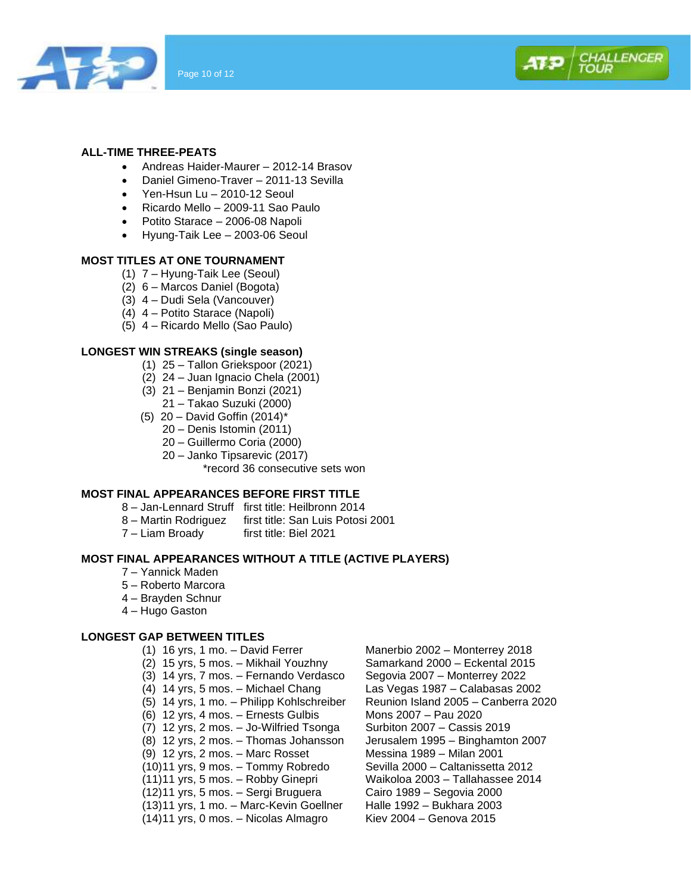



## **ALL-TIME THREE-PEATS**

- Andreas Haider-Maurer 2012-14 Brasov
- Daniel Gimeno-Traver 2011-13 Sevilla
- Yen-Hsun Lu 2010-12 Seoul
- Ricardo Mello 2009-11 Sao Paulo
- Potito Starace 2006-08 Napoli
- Hyung-Taik Lee 2003-06 Seoul

## **MOST TITLES AT ONE TOURNAMENT**

- (1) 7 Hyung-Taik Lee (Seoul)
- (2) 6 Marcos Daniel (Bogota)
- (3) 4 Dudi Sela (Vancouver)
- (4) 4 Potito Starace (Napoli)
- (5) 4 Ricardo Mello (Sao Paulo)

## **LONGEST WIN STREAKS (single season)**

- (1) 25 Tallon Griekspoor (2021)
- (2) 24 Juan Ignacio Chela (2001)
- (3) 21 Benjamin Bonzi (2021)
	- 21 Takao Suzuki (2000)
- (5)  $20 -$  David Goffin (2014)<sup>\*</sup>
	- 20 Denis Istomin (2011)
	- 20 Guillermo Coria (2000)
	- 20 Janko Tipsarevic (2017)

\*record 36 consecutive sets won

## **MOST FINAL APPEARANCES BEFORE FIRST TITLE**

- 8 Jan-Lennard Struff first title: Heilbronn 2014
- 8 Martin Rodriguez first title: San Luis Potosi 2001
- 7 Liam Broady first title: Biel 2021

## **MOST FINAL APPEARANCES WITHOUT A TITLE (ACTIVE PLAYERS)**

- 7 Yannick Maden
- 5 Roberto Marcora
- 4 Brayden Schnur
- 4 Hugo Gaston

## **LONGEST GAP BETWEEN TITLES**

- (1) 16 yrs, 1 mo. David Ferrer Manerbio 2002 Monterrey 2018
- (2) 15 yrs, 5 mos. Mikhail Youzhny Samarkand 2000 Eckental 2015
- (3) 14 yrs, 7 mos. Fernando Verdasco Segovia 2007 Monterrey 2022
- (4) 14 yrs, 5 mos. Michael Chang Las Vegas 1987 Calabasas 2002
- (5) 14 yrs, 1 mo. Philipp Kohlschreiber Reunion Island 2005 Canberra 2020
- (6) 12 yrs, 4 mos. Ernests Gulbis Mons 2007 Pau 2020
- (7) 12 yrs, 2 mos. Jo-Wilfried Tsonga Surbiton 2007 Cassis 2019
- 
- (9) 12 yrs, 2 mos. Marc Rosset
- (10)11 yrs, 9 mos. Tommy Robredo Sevilla 2000 Caltanissetta 2012
- (11)11 yrs, 5 mos. Robby Ginepri Waikoloa 2003 Tallahassee 2014
- 
- $(13)11$  yrs, 1 mo. Marc-Kevin Goellner
- $(14)11$  yrs, 0 mos. Nicolas Almagro Kiev 2004 Genova 2015
- (8) 12 yrs, 2 mos. Thomas Johansson Jerusalem 1995 Binghamton 2007 (12)11 yrs, 5 mos. – Sergi Bruguera Cairo 1989 – Segovia 2000
	-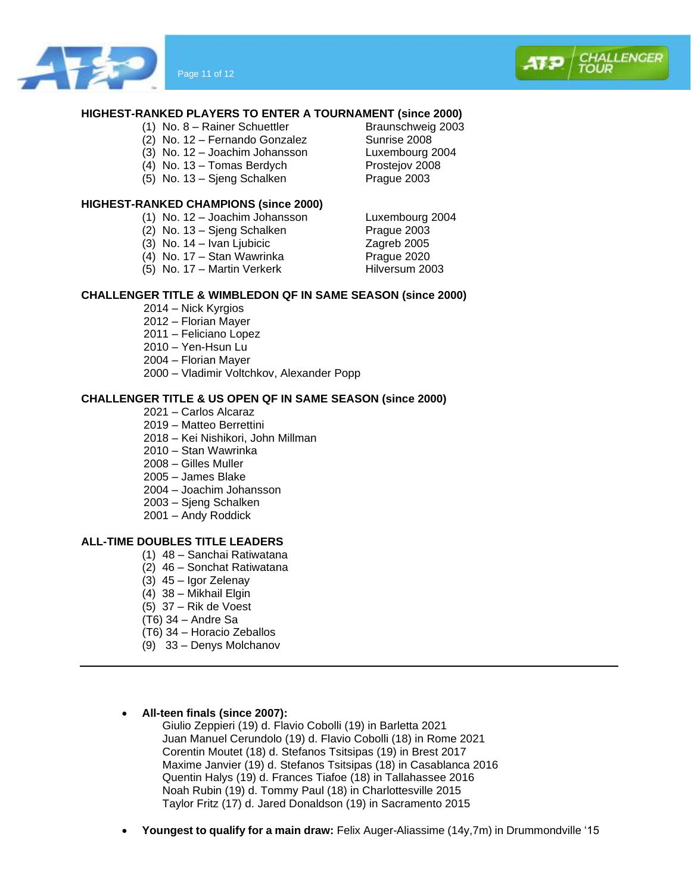



- (1) No. 8 Rainer Schuettler Braunschweig 2003
- (2) No. 12 Fernando Gonzalez Sunrise 2008
- 
- $(4)$  No. 13 Tomas Berdych
- (5) No. 13 Sieng Schalken Prague 2003

#### **HIGHEST-RANKED CHAMPIONS (since 2000)**

- (1) No. 12 Joachim Johansson Luxembourg 2004
- $(2)$  No. 13 Sjeng Schalken
- 
- 
- $(5)$  No. 17 Martin Verkerk

## **CHALLENGER TITLE & WIMBLEDON QF IN SAME SEASON (since 2000)**

- 2014 Nick Kyrgios
- 2012 Florian Mayer
- 2011 Feliciano Lopez
- 2010 Yen-Hsun Lu
- 2004 Florian Mayer
- 2000 Vladimir Voltchkov, Alexander Popp

#### **CHALLENGER TITLE & US OPEN QF IN SAME SEASON (since 2000)**

- 2021 Carlos Alcaraz
- 2019 Matteo Berrettini
- 2018 Kei Nishikori, John Millman
- 2010 Stan Wawrinka
- 2008 Gilles Muller
- 2005 James Blake
- 2004 Joachim Johansson
- 2003 Sjeng Schalken
- 2001 Andy Roddick

## **ALL-TIME DOUBLES TITLE LEADERS**

- (1) 48 Sanchai Ratiwatana
- (2) 46 Sonchat Ratiwatana
- (3) 45 Igor Zelenay
- (4) 38 Mikhail Elgin
- (5) 37 Rik de Voest
- (T6) 34 Andre Sa
- (T6) 34 Horacio Zeballos
- (9) 33 Denys Molchanov
- **All-teen finals (since 2007):**

Giulio Zeppieri (19) d. Flavio Cobolli (19) in Barletta 2021 Juan Manuel Cerundolo (19) d. Flavio Cobolli (18) in Rome 2021 Corentin Moutet (18) d. Stefanos Tsitsipas (19) in Brest 2017 Maxime Janvier (19) d. Stefanos Tsitsipas (18) in Casablanca 2016 Quentin Halys (19) d. Frances Tiafoe (18) in Tallahassee 2016 Noah Rubin (19) d. Tommy Paul (18) in Charlottesville 2015 Taylor Fritz (17) d. Jared Donaldson (19) in Sacramento 2015

• **Youngest to qualify for a main draw:** Felix Auger-Aliassime (14y,7m) in Drummondville '15

(3) No. 12 – Joachim Johansson Luxembourg 2004



(3) No.  $14 - I$ van Ljubicic Zagreb 2005<br>
(4) No.  $17 -$  Stan Wawrinka Praque 2020 (4) No. 17 – Stan Wawrinka Prague 2020